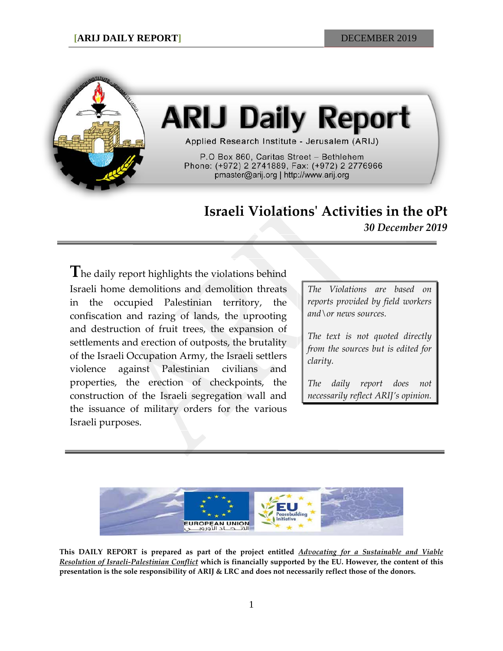

# **ARIJ Daily Report**

Applied Research Institute - Jerusalem (ARIJ)

P.O Box 860, Caritas Street - Bethlehem Phone: (+972) 2 2741889, Fax: (+972) 2 2776966 pmaster@arij.org | http://www.arij.org

## **Israeli Violations' Activities in the oPt**

*30 December 2019*

The daily report highlights the violations behind Israeli home demolitions and demolition threats in the occupied Palestinian territory, the confiscation and razing of lands, the uprooting and destruction of fruit trees, the expansion of settlements and erection of outposts, the brutality of the Israeli Occupation Army, the Israeli settlers violence against Palestinian civilians and properties, the erection of checkpoints, the construction of the Israeli segregation wall and the issuance of military orders for the various Israeli purposes.

*The Violations are based on reports provided by field workers and\or news sources.*

*The text is not quoted directly from the sources but is edited for clarity.*

*The daily report does not necessarily reflect ARIJ's opinion.*



**This DAILY REPORT is prepared as part of the project entitled** *Advocating for a Sustainable and Viable Resolution of Israeli-Palestinian Conflict* **which is financially supported by the EU. However, the content of this presentation is the sole responsibility of ARIJ & LRC and does not necessarily reflect those of the donors.**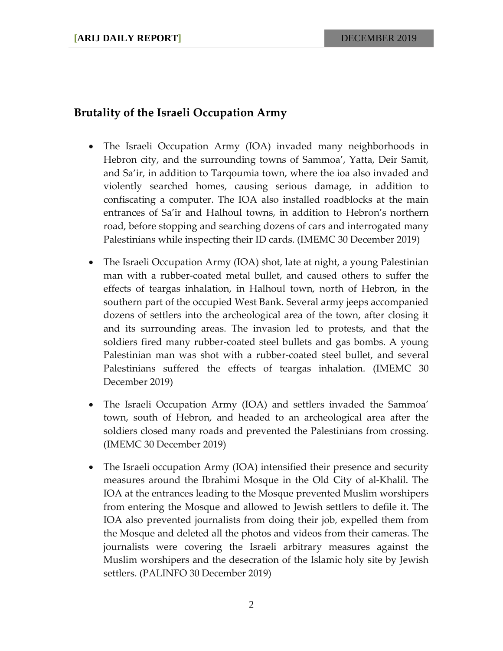### **Brutality of the Israeli Occupation Army**

- The Israeli Occupation Army (IOA) invaded many neighborhoods in Hebron city, and the surrounding towns of Sammoa', Yatta, Deir Samit, and Sa'ir, in addition to Tarqoumia town, where the ioa also invaded and violently searched homes, causing serious damage, in addition to confiscating a computer. The IOA also installed roadblocks at the main entrances of Sa'ir and Halhoul towns, in addition to Hebron's northern road, before stopping and searching dozens of cars and interrogated many Palestinians while inspecting their ID cards. (IMEMC 30 December 2019)
- The Israeli Occupation Army (IOA) shot, late at night, a young Palestinian man with a rubber-coated metal bullet, and caused others to suffer the effects of teargas inhalation, in Halhoul town, north of Hebron, in the southern part of the occupied West Bank. Several army jeeps accompanied dozens of settlers into the archeological area of the town, after closing it and its surrounding areas. The invasion led to protests, and that the soldiers fired many rubber-coated steel bullets and gas bombs. A young Palestinian man was shot with a rubber-coated steel bullet, and several Palestinians suffered the effects of teargas inhalation. (IMEMC 30 December 2019)
- The Israeli Occupation Army (IOA) and settlers invaded the Sammoa' town, south of Hebron, and headed to an archeological area after the soldiers closed many roads and prevented the Palestinians from crossing. (IMEMC 30 December 2019)
- The Israeli occupation Army (IOA) intensified their presence and security measures around the Ibrahimi Mosque in the Old City of al-Khalil. The IOA at the entrances leading to the Mosque prevented Muslim worshipers from entering the Mosque and allowed to Jewish settlers to defile it. The IOA also prevented journalists from doing their job, expelled them from the Mosque and deleted all the photos and videos from their cameras. The journalists were covering the Israeli arbitrary measures against the Muslim worshipers and the desecration of the Islamic holy site by Jewish settlers. (PALINFO 30 December 2019)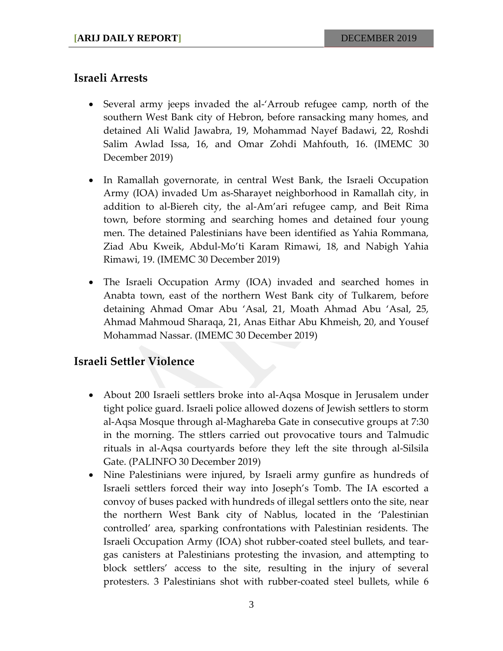### **Israeli Arrests**

- Several army jeeps invaded the al-'Arroub refugee camp, north of the southern West Bank city of Hebron, before ransacking many homes, and detained Ali Walid Jawabra, 19, Mohammad Nayef Badawi, 22, Roshdi Salim Awlad Issa, 16, and Omar Zohdi Mahfouth, 16. (IMEMC 30 December 2019)
- In Ramallah governorate, in central West Bank, the Israeli Occupation Army (IOA) invaded Um as-Sharayet neighborhood in Ramallah city, in addition to al-Biereh city, the al-Am'ari refugee camp, and Beit Rima town, before storming and searching homes and detained four young men. The detained Palestinians have been identified as Yahia Rommana, Ziad Abu Kweik, Abdul-Mo'ti Karam Rimawi, 18, and Nabigh Yahia Rimawi, 19. (IMEMC 30 December 2019)
- The Israeli Occupation Army (IOA) invaded and searched homes in Anabta town, east of the northern West Bank city of Tulkarem, before detaining Ahmad Omar Abu 'Asal, 21, Moath Ahmad Abu 'Asal, 25, Ahmad Mahmoud Sharaqa, 21, Anas Eithar Abu Khmeish, 20, and Yousef Mohammad Nassar. (IMEMC 30 December 2019)

### **Israeli Settler Violence**

- About 200 Israeli settlers broke into al-Aqsa Mosque in Jerusalem under tight police guard. Israeli police allowed dozens of Jewish settlers to storm al-Aqsa Mosque through al-Maghareba Gate in consecutive groups at 7:30 in the morning. The sttlers carried out provocative tours and Talmudic rituals in al-Aqsa courtyards before they left the site through al-Silsila Gate. (PALINFO 30 December 2019)
- Nine Palestinians were injured, by Israeli army gunfire as hundreds of Israeli settlers forced their way into Joseph's Tomb. The IA escorted a convoy of buses packed with hundreds of illegal settlers onto the site, near the northern West Bank city of Nablus, located in the 'Palestinian controlled' area, sparking confrontations with Palestinian residents. The Israeli Occupation Army (IOA) shot rubber-coated steel bullets, and teargas canisters at Palestinians protesting the invasion, and attempting to block settlers' access to the site, resulting in the injury of several protesters. 3 Palestinians shot with rubber-coated steel bullets, while 6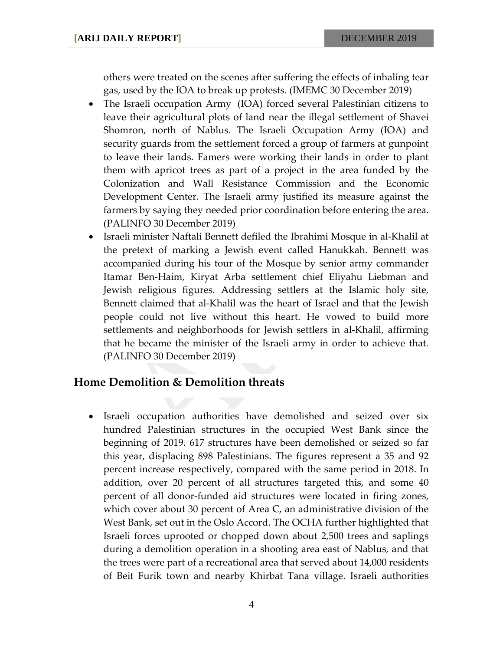others were treated on the scenes after suffering the effects of inhaling tear gas, used by the IOA to break up protests. (IMEMC 30 December 2019)

- The Israeli occupation Army (IOA) forced several Palestinian citizens to leave their agricultural plots of land near the illegal settlement of Shavei Shomron, north of Nablus. The Israeli Occupation Army (IOA) and security guards from the settlement forced a group of farmers at gunpoint to leave their lands. Famers were working their lands in order to plant them with apricot trees as part of a project in the area funded by the Colonization and Wall Resistance Commission and the Economic Development Center. The Israeli army justified its measure against the farmers by saying they needed prior coordination before entering the area. (PALINFO 30 December 2019)
- Israeli minister Naftali Bennett defiled the Ibrahimi Mosque in al-Khalil at the pretext of marking a Jewish event called Hanukkah. Bennett was accompanied during his tour of the Mosque by senior army commander Itamar Ben-Haim, Kiryat Arba settlement chief Eliyahu Liebman and Jewish religious figures. Addressing settlers at the Islamic holy site, Bennett claimed that al-Khalil was the heart of Israel and that the Jewish people could not live without this heart. He vowed to build more settlements and neighborhoods for Jewish settlers in al-Khalil, affirming that he became the minister of the Israeli army in order to achieve that. (PALINFO 30 December 2019)

#### **Home Demolition & Demolition threats**

• Israeli occupation authorities have demolished and seized over six hundred Palestinian structures in the occupied West Bank since the beginning of 2019. 617 structures have been demolished or seized so far this year, displacing 898 Palestinians. The figures represent a 35 and 92 percent increase respectively, compared with the same period in 2018. In addition, over 20 percent of all structures targeted this, and some 40 percent of all donor-funded aid structures were located in firing zones, which cover about 30 percent of Area C, an administrative division of the West Bank, set out in the Oslo Accord. The OCHA further highlighted that Israeli forces uprooted or chopped down about 2,500 trees and saplings during a demolition operation in a shooting area east of Nablus, and that the trees were part of a recreational area that served about 14,000 residents of Beit Furik town and nearby Khirbat Tana village. Israeli authorities